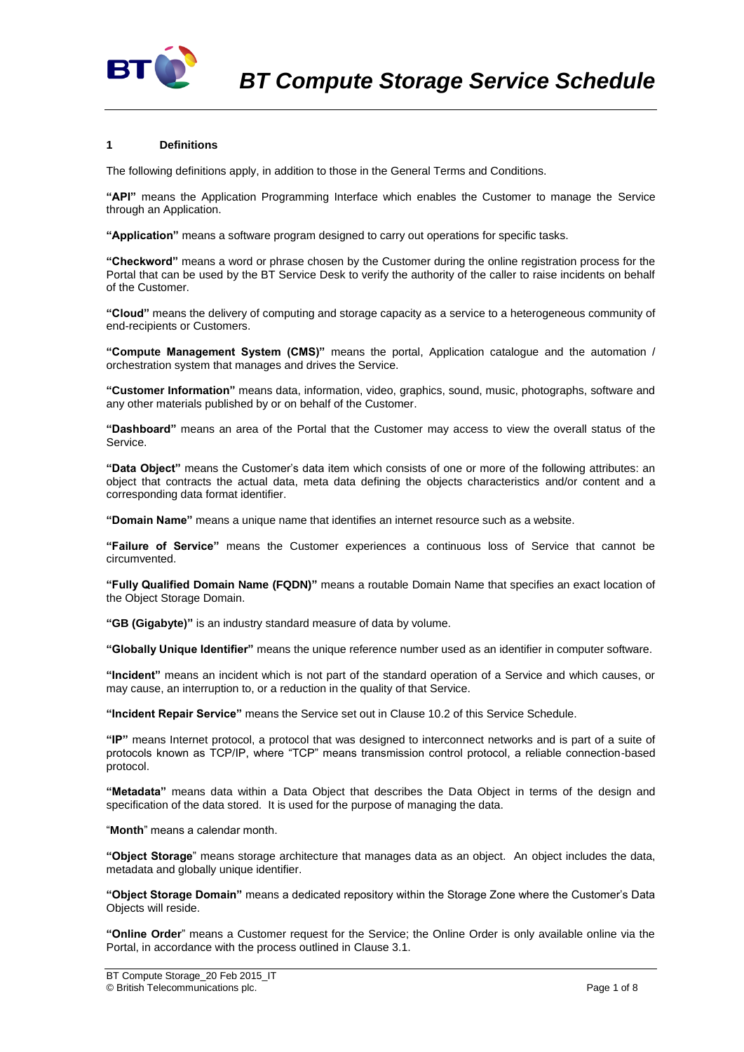

## **1 Definitions**

The following definitions apply, in addition to those in the General Terms and Conditions.

**"API"** means the Application Programming Interface which enables the Customer to manage the Service through an Application.

**"Application"** means a software program designed to carry out operations for specific tasks.

**"Checkword"** means a word or phrase chosen by the Customer during the online registration process for the Portal that can be used by the BT Service Desk to verify the authority of the caller to raise incidents on behalf of the Customer.

**"Cloud"** means the delivery of computing and storage capacity as a service to a heterogeneous community of end-recipients or Customers.

**"Compute Management System (CMS)"** means the portal, Application catalogue and the automation / orchestration system that manages and drives the Service.

**"Customer Information"** means data, information, video, graphics, sound, music, photographs, software and any other materials published by or on behalf of the Customer.

**"Dashboard"** means an area of the Portal that the Customer may access to view the overall status of the Service.

**"Data Object"** means the Customer's data item which consists of one or more of the following attributes: an object that contracts the actual data, meta data defining the objects characteristics and/or content and a corresponding data format identifier.

**"Domain Name"** means a unique name that identifies an internet resource such as a website.

**"Failure of Service"** means the Customer experiences a continuous loss of Service that cannot be circumvented.

**"Fully Qualified Domain Name (FQDN)"** means a routable Domain Name that specifies an exact location of the Object Storage Domain.

**"GB (Gigabyte)"** is an industry standard measure of data by volume.

**"Globally Unique Identifier"** means the unique reference number used as an identifier in computer software.

**"Incident"** means an incident which is not part of the standard operation of a Service and which causes, or may cause, an interruption to, or a reduction in the quality of that Service.

**"Incident Repair Service"** means the Service set out in Clause [10.2](#page-3-0) of this Service Schedule.

**"IP"** means Internet protocol, a protocol that was designed to interconnect networks and is part of a suite of protocols known as TCP/IP, where "TCP" means transmission control protocol, a reliable connection-based protocol.

**"Metadata"** means data within a Data Object that describes the Data Object in terms of the design and specification of the data stored. It is used for the purpose of managing the data.

"**Month**" means a calendar month.

**"Object Storage**" means storage architecture that manages data as an object. An object includes the data, metadata and globally unique identifier.

**"Object Storage Domain"** means a dedicated repository within the Storage Zone where the Customer's Data Objects will reside.

**"Online Order**" means a Customer request for the Service; the Online Order is only available online via the Portal, in accordance with the process outlined in Claus[e 3.1.](#page-1-0)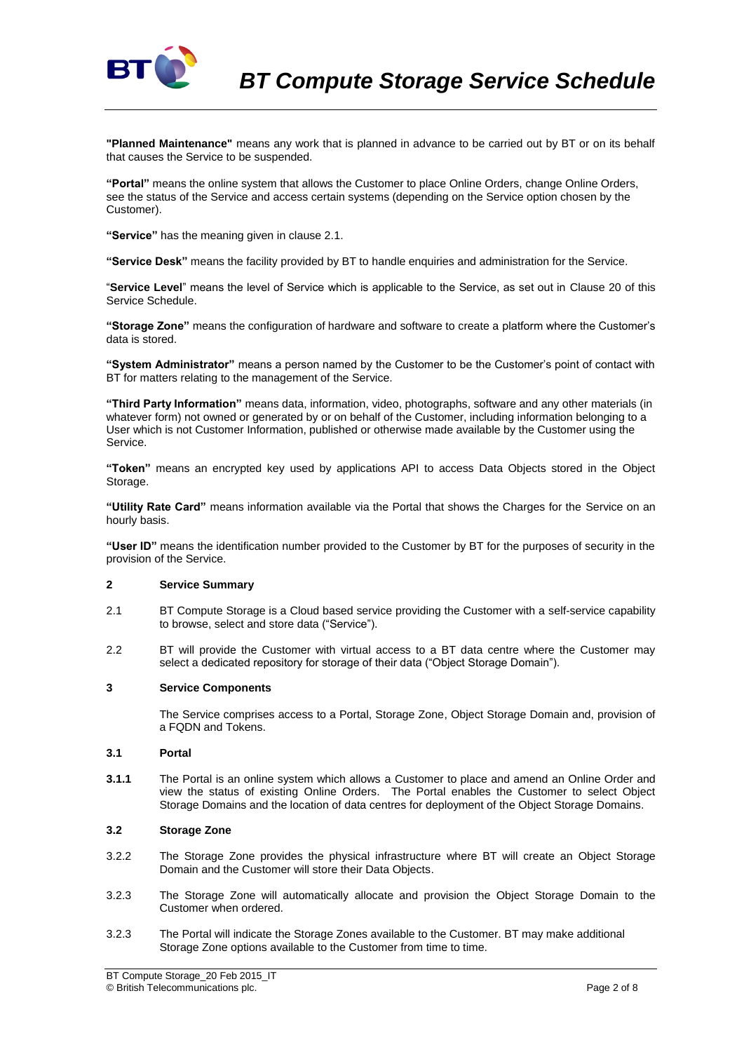

**"Planned Maintenance"** means any work that is planned in advance to be carried out by BT or on its behalf that causes the Service to be suspended.

**"Portal"** means the online system that allows the Customer to place Online Orders, change Online Orders, see the status of the Service and access certain systems (depending on the Service option chosen by the Customer).

**"Service"** has the meaning given in clause 2.1.

**"Service Desk"** means the facility provided by BT to handle enquiries and administration for the Service.

"**Service Level**" means the level of Service which is applicable to the Service, as set out in Clause 20 of this Service Schedule.

**"Storage Zone"** means the configuration of hardware and software to create a platform where the Customer's data is stored.

**"System Administrator"** means a person named by the Customer to be the Customer's point of contact with BT for matters relating to the management of the Service.

**"Third Party Information"** means data, information, video, photographs, software and any other materials (in whatever form) not owned or generated by or on behalf of the Customer, including information belonging to a User which is not Customer Information, published or otherwise made available by the Customer using the Service.

**"Token"** means an encrypted key used by applications API to access Data Objects stored in the Object Storage.

**"Utility Rate Card"** means information available via the Portal that shows the Charges for the Service on an hourly basis.

**"User ID"** means the identification number provided to the Customer by BT for the purposes of security in the provision of the Service.

## **2 Service Summary**

- 2.1 BT Compute Storage is a Cloud based service providing the Customer with a self-service capability to browse, select and store data ("Service").
- 2.2 BT will provide the Customer with virtual access to a BT data centre where the Customer may select a dedicated repository for storage of their data ("Object Storage Domain").

### **3 Service Components**

The Service comprises access to a Portal, Storage Zone, Object Storage Domain and, provision of a FQDN and Tokens.

### <span id="page-1-0"></span>**3.1 Portal**

**3.1.1** The Portal is an online system which allows a Customer to place and amend an Online Order and view the status of existing Online Orders. The Portal enables the Customer to select Object Storage Domains and the location of data centres for deployment of the Object Storage Domains.

### **3.2 Storage Zone**

- 3.2.2 The Storage Zone provides the physical infrastructure where BT will create an Object Storage Domain and the Customer will store their Data Objects.
- 3.2.3 The Storage Zone will automatically allocate and provision the Object Storage Domain to the Customer when ordered.
- 3.2.3 The Portal will indicate the Storage Zones available to the Customer. BT may make additional Storage Zone options available to the Customer from time to time.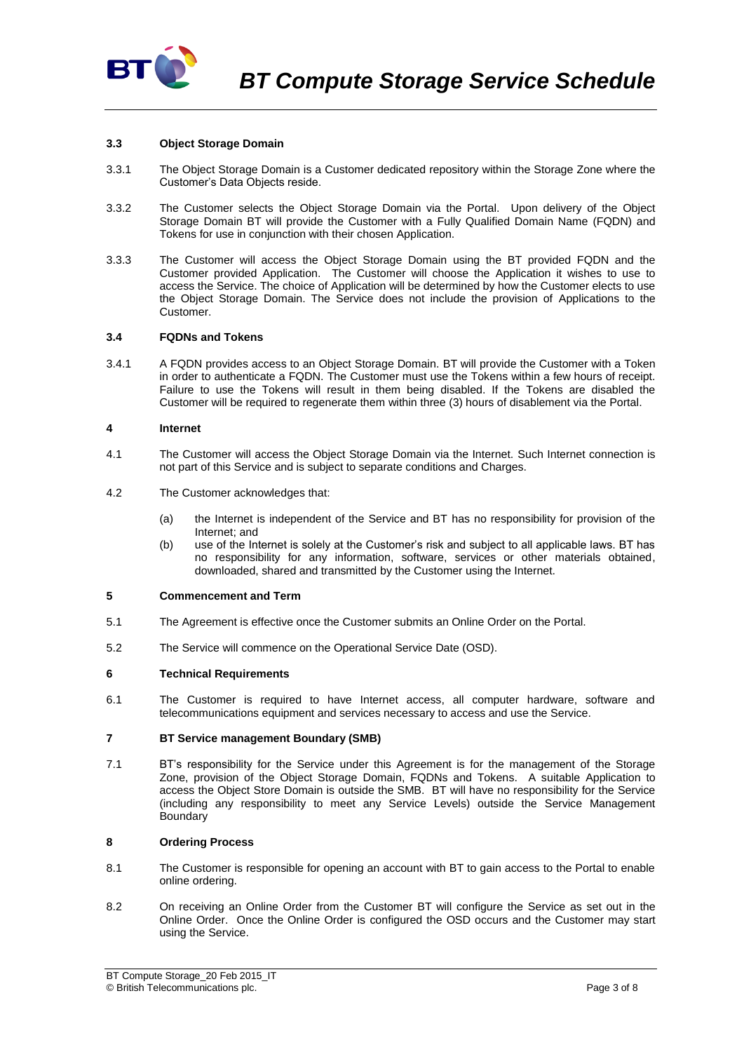

### **3.3 Object Storage Domain**

- 3.3.1 The Object Storage Domain is a Customer dedicated repository within the Storage Zone where the Customer's Data Objects reside.
- 3.3.2 The Customer selects the Object Storage Domain via the Portal. Upon delivery of the Object Storage Domain BT will provide the Customer with a Fully Qualified Domain Name (FQDN) and Tokens for use in conjunction with their chosen Application.
- 3.3.3 The Customer will access the Object Storage Domain using the BT provided FQDN and the Customer provided Application. The Customer will choose the Application it wishes to use to access the Service. The choice of Application will be determined by how the Customer elects to use the Object Storage Domain. The Service does not include the provision of Applications to the Customer.

## **3.4 FQDNs and Tokens**

3.4.1 A FQDN provides access to an Object Storage Domain. BT will provide the Customer with a Token in order to authenticate a FQDN. The Customer must use the Tokens within a few hours of receipt. Failure to use the Tokens will result in them being disabled. If the Tokens are disabled the Customer will be required to regenerate them within three (3) hours of disablement via the Portal.

### **4 Internet**

- 4.1 The Customer will access the Object Storage Domain via the Internet. Such Internet connection is not part of this Service and is subject to separate conditions and Charges.
- 4.2 The Customer acknowledges that:
	- (a) the Internet is independent of the Service and BT has no responsibility for provision of the Internet; and
	- (b) use of the Internet is solely at the Customer's risk and subject to all applicable laws. BT has no responsibility for any information, software, services or other materials obtained, downloaded, shared and transmitted by the Customer using the Internet.

### **5 Commencement and Term**

- 5.1 The Agreement is effective once the Customer submits an Online Order on the Portal.
- 5.2 The Service will commence on the Operational Service Date (OSD).

### **6 Technical Requirements**

6.1 The Customer is required to have Internet access, all computer hardware, software and telecommunications equipment and services necessary to access and use the Service.

### **7 BT Service management Boundary (SMB)**

7.1 BT's responsibility for the Service under this Agreement is for the management of the Storage Zone, provision of the Object Storage Domain, FQDNs and Tokens. A suitable Application to access the Object Store Domain is outside the SMB. BT will have no responsibility for the Service (including any responsibility to meet any Service Levels) outside the Service Management **Boundary** 

## **8 Ordering Process**

- 8.1 The Customer is responsible for opening an account with BT to gain access to the Portal to enable online ordering.
- 8.2 On receiving an Online Order from the Customer BT will configure the Service as set out in the Online Order. Once the Online Order is configured the OSD occurs and the Customer may start using the Service.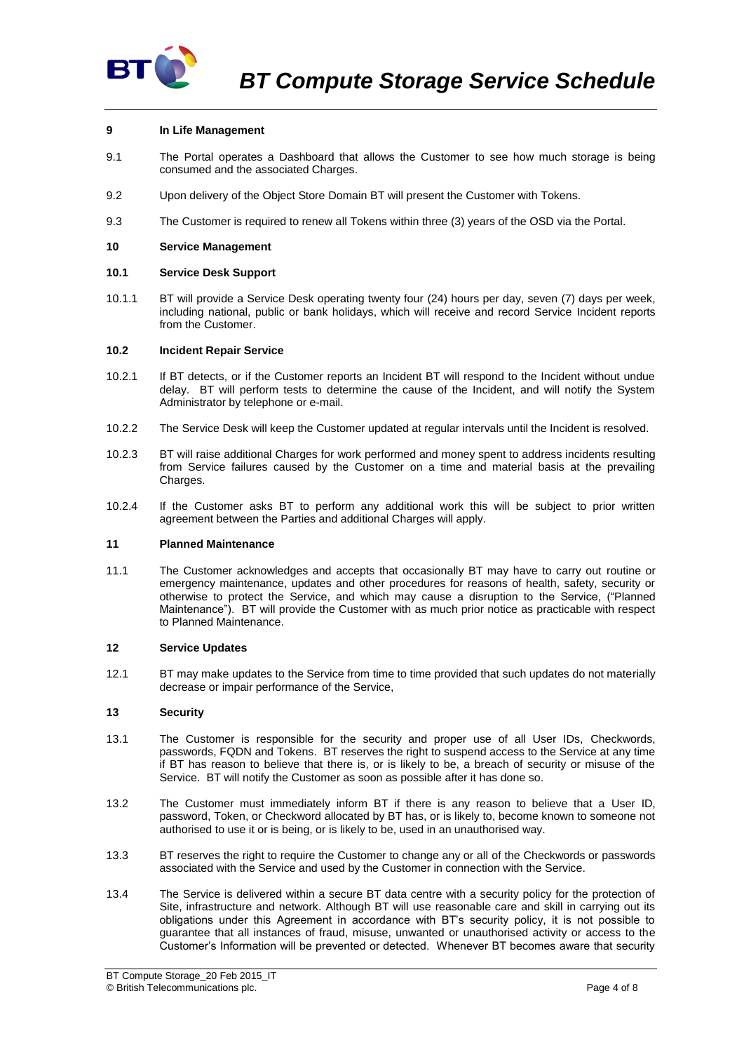

# **9 In Life Management**

- 9.1 The Portal operates a Dashboard that allows the Customer to see how much storage is being consumed and the associated Charges.
- 9.2 Upon delivery of the Object Store Domain BT will present the Customer with Tokens.
- 9.3 The Customer is required to renew all Tokens within three (3) years of the OSD via the Portal.

### **10 Service Management**

### **10.1 Service Desk Support**

10.1.1 BT will provide a Service Desk operating twenty four (24) hours per day, seven (7) days per week, including national, public or bank holidays, which will receive and record Service Incident reports from the Customer.

### <span id="page-3-0"></span>**10.2 Incident Repair Service**

- 10.2.1 If BT detects, or if the Customer reports an Incident BT will respond to the Incident without undue delay. BT will perform tests to determine the cause of the Incident, and will notify the System Administrator by telephone or e-mail.
- 10.2.2 The Service Desk will keep the Customer updated at regular intervals until the Incident is resolved.
- 10.2.3 BT will raise additional Charges for work performed and money spent to address incidents resulting from Service failures caused by the Customer on a time and material basis at the prevailing Charges.
- 10.2.4 If the Customer asks BT to perform any additional work this will be subject to prior written agreement between the Parties and additional Charges will apply.

### **11 Planned Maintenance**

11.1 The Customer acknowledges and accepts that occasionally BT may have to carry out routine or emergency maintenance, updates and other procedures for reasons of health, safety, security or otherwise to protect the Service, and which may cause a disruption to the Service, ("Planned Maintenance"). BT will provide the Customer with as much prior notice as practicable with respect to Planned Maintenance.

### **12 Service Updates**

12.1 BT may make updates to the Service from time to time provided that such updates do not materially decrease or impair performance of the Service,

### **13 Security**

- 13.1 The Customer is responsible for the security and proper use of all User IDs, Checkwords, passwords, FQDN and Tokens. BT reserves the right to suspend access to the Service at any time if BT has reason to believe that there is, or is likely to be, a breach of security or misuse of the Service. BT will notify the Customer as soon as possible after it has done so.
- 13.2 The Customer must immediately inform BT if there is any reason to believe that a User ID, password, Token, or Checkword allocated by BT has, or is likely to, become known to someone not authorised to use it or is being, or is likely to be, used in an unauthorised way.
- 13.3 BT reserves the right to require the Customer to change any or all of the Checkwords or passwords associated with the Service and used by the Customer in connection with the Service.
- 13.4 The Service is delivered within a secure BT data centre with a security policy for the protection of Site, infrastructure and network. Although BT will use reasonable care and skill in carrying out its obligations under this Agreement in accordance with BT's security policy, it is not possible to guarantee that all instances of fraud, misuse, unwanted or unauthorised activity or access to the Customer's Information will be prevented or detected. Whenever BT becomes aware that security

BT Compute Storage\_20 Feb 2015\_IT © British Telecommunications plc. Page 4 of 8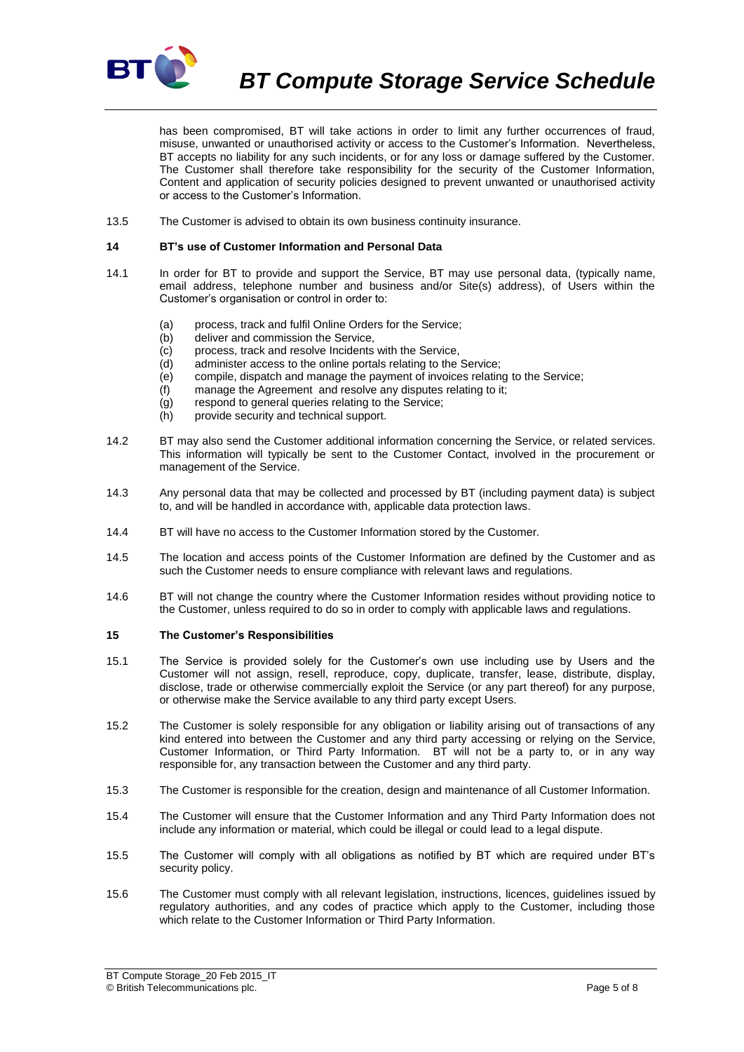

*BT Compute Storage Service Schedule*

has been compromised, BT will take actions in order to limit any further occurrences of fraud, misuse, unwanted or unauthorised activity or access to the Customer's Information. Nevertheless, BT accepts no liability for any such incidents, or for any loss or damage suffered by the Customer. The Customer shall therefore take responsibility for the security of the Customer Information, Content and application of security policies designed to prevent unwanted or unauthorised activity or access to the Customer's Information.

13.5 The Customer is advised to obtain its own business continuity insurance.

#### **14 BT's use of Customer Information and Personal Data**

- 14.1 In order for BT to provide and support the Service, BT may use personal data, (typically name, email address, telephone number and business and/or Site(s) address), of Users within the Customer's organisation or control in order to:
	- (a) process, track and fulfil Online Orders for the Service;
	- (b) deliver and commission the Service,
	- (c) process, track and resolve Incidents with the Service,
	- (d) administer access to the online portals relating to the Service;
	- (e) compile, dispatch and manage the payment of invoices relating to the Service;
	- (f) manage the Agreement and resolve any disputes relating to it;
	- (g) respond to general queries relating to the Service;
	- (h) provide security and technical support.
- 14.2 BT may also send the Customer additional information concerning the Service, or related services. This information will typically be sent to the Customer Contact, involved in the procurement or management of the Service.
- 14.3 Any personal data that may be collected and processed by BT (including payment data) is subject to, and will be handled in accordance with, applicable data protection laws.
- 14.4 BT will have no access to the Customer Information stored by the Customer.
- 14.5 The location and access points of the Customer Information are defined by the Customer and as such the Customer needs to ensure compliance with relevant laws and regulations.
- 14.6 BT will not change the country where the Customer Information resides without providing notice to the Customer, unless required to do so in order to comply with applicable laws and regulations.

#### <span id="page-4-0"></span>**15 The Customer's Responsibilities**

- 15.1 The Service is provided solely for the Customer's own use including use by Users and the Customer will not assign, resell, reproduce, copy, duplicate, transfer, lease, distribute, display, disclose, trade or otherwise commercially exploit the Service (or any part thereof) for any purpose, or otherwise make the Service available to any third party except Users.
- 15.2 The Customer is solely responsible for any obligation or liability arising out of transactions of any kind entered into between the Customer and any third party accessing or relying on the Service, Customer Information, or Third Party Information. BT will not be a party to, or in any way responsible for, any transaction between the Customer and any third party.
- 15.3 The Customer is responsible for the creation, design and maintenance of all Customer Information.
- 15.4 The Customer will ensure that the Customer Information and any Third Party Information does not include any information or material, which could be illegal or could lead to a legal dispute.
- 15.5 The Customer will comply with all obligations as notified by BT which are required under BT's security policy.
- 15.6 The Customer must comply with all relevant legislation, instructions, licences, guidelines issued by regulatory authorities, and any codes of practice which apply to the Customer, including those which relate to the Customer Information or Third Party Information.

BT Compute Storage\_20 Feb 2015\_IT © British Telecommunications plc. Page 5 of 8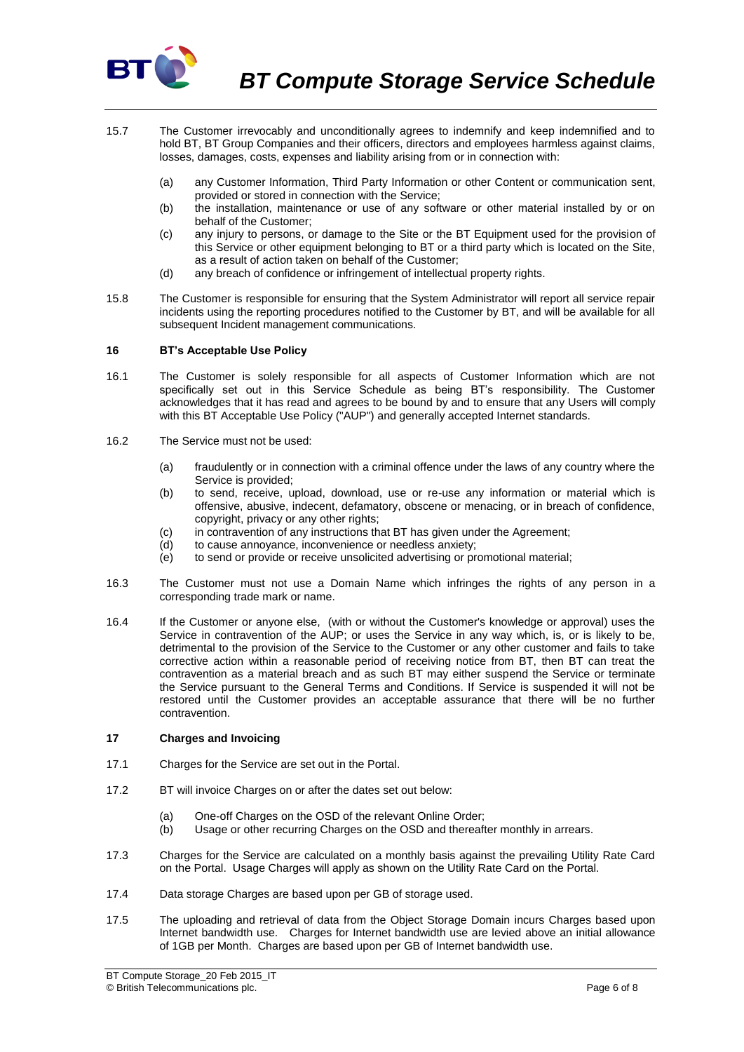

- 15.7 The Customer irrevocably and unconditionally agrees to indemnify and keep indemnified and to hold BT, BT Group Companies and their officers, directors and employees harmless against claims, losses, damages, costs, expenses and liability arising from or in connection with:
	- (a) any Customer Information, Third Party Information or other Content or communication sent, provided or stored in connection with the Service;
	- (b) the installation, maintenance or use of any software or other material installed by or on behalf of the Customer;
	- (c) any injury to persons, or damage to the Site or the BT Equipment used for the provision of this Service or other equipment belonging to BT or a third party which is located on the Site, as a result of action taken on behalf of the Customer;
	- (d) any breach of confidence or infringement of intellectual property rights.
- 15.8 The Customer is responsible for ensuring that the System Administrator will report all service repair incidents using the reporting procedures notified to the Customer by BT, and will be available for all subsequent Incident management communications.

## **16 BT's Acceptable Use Policy**

- 16.1 The Customer is solely responsible for all aspects of Customer Information which are not specifically set out in this Service Schedule as being BT's responsibility. The Customer acknowledges that it has read and agrees to be bound by and to ensure that any Users will comply with this BT Acceptable Use Policy ("AUP") and generally accepted Internet standards.
- 16.2 The Service must not be used:
	- (a) fraudulently or in connection with a criminal offence under the laws of any country where the Service is provided;
	- (b) to send, receive, upload, download, use or re-use any information or material which is offensive, abusive, indecent, defamatory, obscene or menacing, or in breach of confidence, copyright, privacy or any other rights;
	- (c) in contravention of any instructions that BT has given under the Agreement;
	- (d) to cause annoyance, inconvenience or needless anxiety;
	- $\overrightarrow{e}$  to send or provide or receive unsolicited advertising or promotional material;
- 16.3 The Customer must not use a Domain Name which infringes the rights of any person in a corresponding trade mark or name.
- 16.4 If the Customer or anyone else, (with or without the Customer's knowledge or approval) uses the Service in contravention of the AUP; or uses the Service in any way which, is, or is likely to be, detrimental to the provision of the Service to the Customer or any other customer and fails to take corrective action within a reasonable period of receiving notice from BT, then BT can treat the contravention as a material breach and as such BT may either suspend the Service or terminate the Service pursuant to the General Terms and Conditions. If Service is suspended it will not be restored until the Customer provides an acceptable assurance that there will be no further contravention.

### **17 Charges and Invoicing**

- 17.1 Charges for the Service are set out in the Portal.
- 17.2 BT will invoice Charges on or after the dates set out below:
	- (a) One-off Charges on the OSD of the relevant Online Order;
	- (b) Usage or other recurring Charges on the OSD and thereafter monthly in arrears.
- 17.3 Charges for the Service are calculated on a monthly basis against the prevailing Utility Rate Card on the Portal. Usage Charges will apply as shown on the Utility Rate Card on the Portal.
- 17.4 Data storage Charges are based upon per GB of storage used.
- 17.5 The uploading and retrieval of data from the Object Storage Domain incurs Charges based upon Internet bandwidth use. Charges for Internet bandwidth use are levied above an initial allowance of 1GB per Month. Charges are based upon per GB of Internet bandwidth use.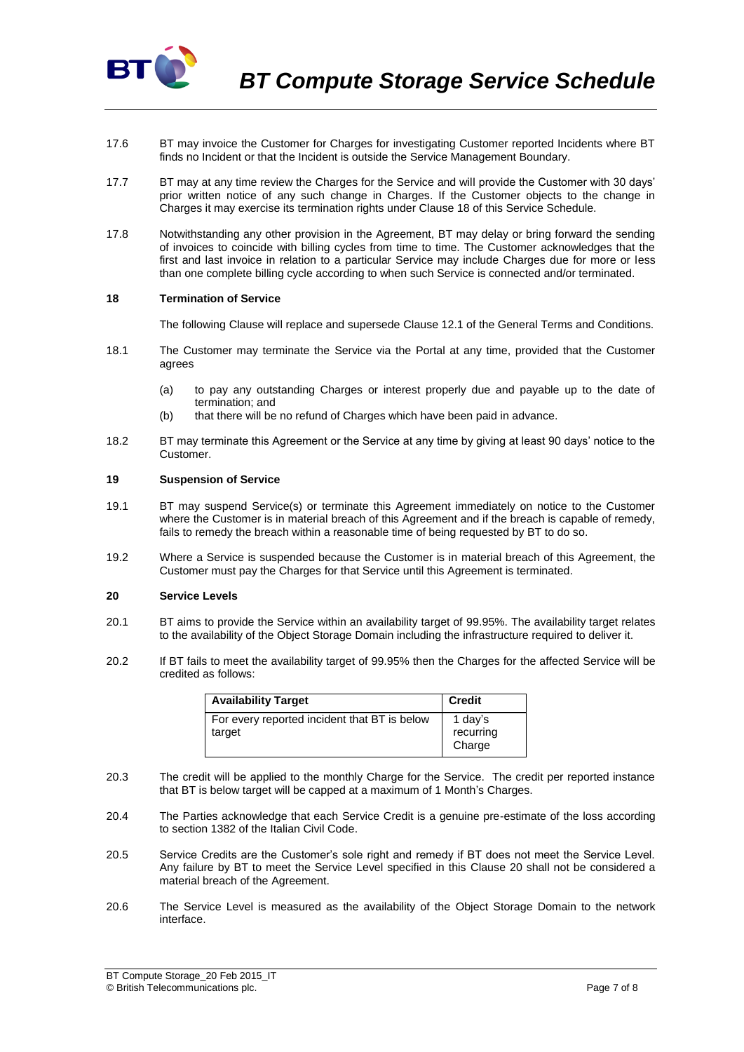

- 17.6 BT may invoice the Customer for Charges for investigating Customer reported Incidents where BT finds no Incident or that the Incident is outside the Service Management Boundary.
- 17.7 BT may at any time review the Charges for the Service and will provide the Customer with 30 days' prior written notice of any such change in Charges. If the Customer objects to the change in Charges it may exercise its termination rights under Clause 18 of this Service Schedule.
- 17.8 Notwithstanding any other provision in the Agreement, BT may delay or bring forward the sending of invoices to coincide with billing cycles from time to time. The Customer acknowledges that the first and last invoice in relation to a particular Service may include Charges due for more or less than one complete billing cycle according to when such Service is connected and/or terminated.

### **18 Termination of Service**

The following Clause will replace and supersede Clause 12.1 of the General Terms and Conditions.

- 18.1 The Customer may terminate the Service via the Portal at any time, provided that the Customer agrees
	- (a) to pay any outstanding Charges or interest properly due and payable up to the date of termination; and
	- (b) that there will be no refund of Charges which have been paid in advance.
- 18.2 BT may terminate this Agreement or the Service at any time by giving at least 90 days' notice to the Customer.

#### **19 Suspension of Service**

- 19.1 BT may suspend Service(s) or terminate this Agreement immediately on notice to the Customer where the Customer is in material breach of this Agreement and if the breach is capable of remedy, fails to remedy the breach within a reasonable time of being requested by BT to do so.
- 19.2 Where a Service is suspended because the Customer is in material breach of this Agreement, the Customer must pay the Charges for that Service until this Agreement is terminated.

## <span id="page-6-0"></span>**20 Service Levels**

- 20.1 BT aims to provide the Service within an availability target of 99.95%. The availability target relates to the availability of the Object Storage Domain including the infrastructure required to deliver it.
- 20.2 If BT fails to meet the availability target of 99.95% then the Charges for the affected Service will be credited as follows:

| <b>Availability Target</b>                             | <b>Credit</b>                  |
|--------------------------------------------------------|--------------------------------|
| For every reported incident that BT is below<br>target | 1 day's<br>recurring<br>Charge |

- 20.3 The credit will be applied to the monthly Charge for the Service. The credit per reported instance that BT is below target will be capped at a maximum of 1 Month's Charges.
- 20.4 The Parties acknowledge that each Service Credit is a genuine pre-estimate of the loss according to section 1382 of the Italian Civil Code.
- 20.5 Service Credits are the Customer's sole right and remedy if BT does not meet the Service Level. Any failure by BT to meet the Service Level specified in this Clause [20](#page-6-0) shall not be considered a material breach of the Agreement.
- 20.6 The Service Level is measured as the availability of the Object Storage Domain to the network interface.

BT Compute Storage\_20 Feb 2015\_IT © British Telecommunications plc. Page 7 of 8